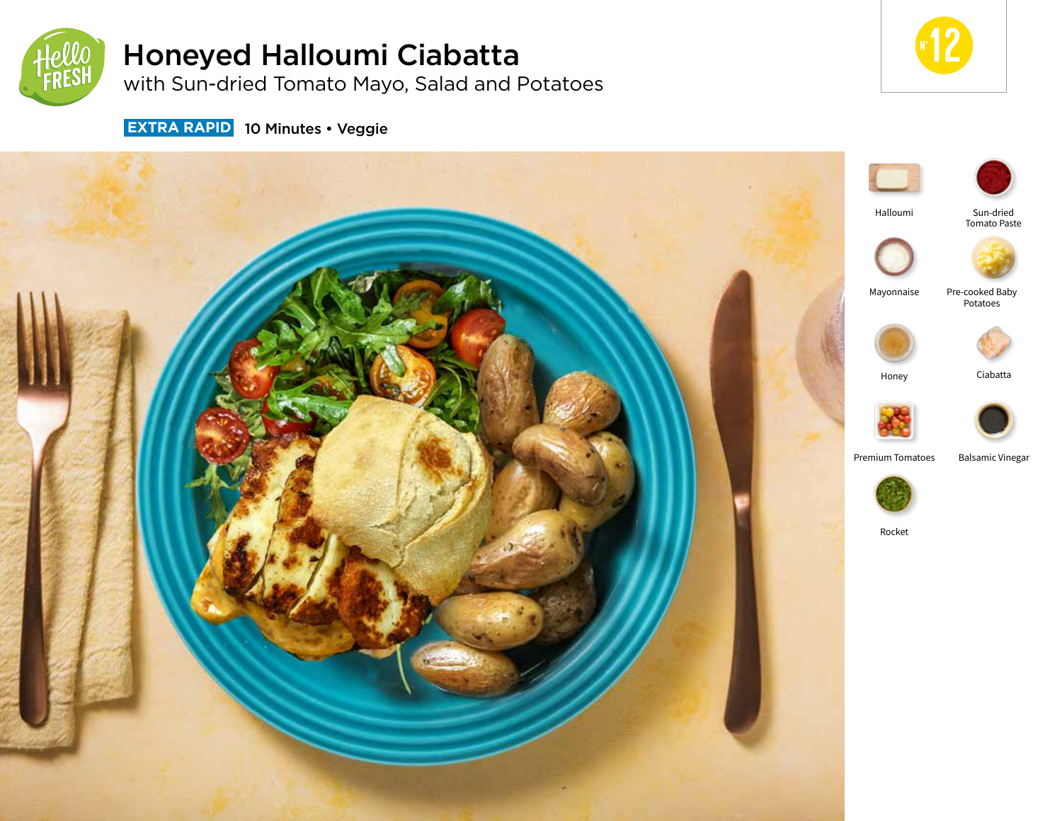

# Honeyed Halloumi Ciabatta

with Sun-dried Tomato Mayo, Salad and Potatoes



**EXTRA RAPID** 10 Minutes • Veggie